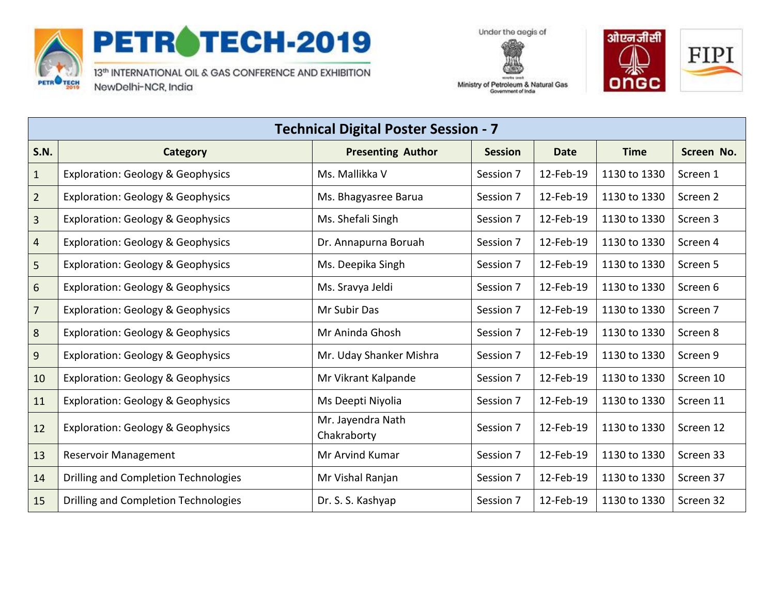

## PETROTECH-2019

13th INTERNATIONAL OIL & GAS CONFERENCE AND EXHIBITION NewDelhi-NCR, India





Ministry of Petroleum & Natural Gas Government of India

| <b>Technical Digital Poster Session - 7</b> |                                              |                                  |                |             |              |            |
|---------------------------------------------|----------------------------------------------|----------------------------------|----------------|-------------|--------------|------------|
| <b>S.N.</b>                                 | <b>Category</b>                              | <b>Presenting Author</b>         | <b>Session</b> | <b>Date</b> | <b>Time</b>  | Screen No. |
| $\mathbf{1}$                                | <b>Exploration: Geology &amp; Geophysics</b> | Ms. Mallikka V                   | Session 7      | 12-Feb-19   | 1130 to 1330 | Screen 1   |
| $\overline{2}$                              | <b>Exploration: Geology &amp; Geophysics</b> | Ms. Bhagyasree Barua             | Session 7      | 12-Feb-19   | 1130 to 1330 | Screen 2   |
| $\overline{3}$                              | <b>Exploration: Geology &amp; Geophysics</b> | Ms. Shefali Singh                | Session 7      | 12-Feb-19   | 1130 to 1330 | Screen 3   |
| $\overline{4}$                              | <b>Exploration: Geology &amp; Geophysics</b> | Dr. Annapurna Boruah             | Session 7      | 12-Feb-19   | 1130 to 1330 | Screen 4   |
| 5                                           | <b>Exploration: Geology &amp; Geophysics</b> | Ms. Deepika Singh                | Session 7      | 12-Feb-19   | 1130 to 1330 | Screen 5   |
| 6                                           | <b>Exploration: Geology &amp; Geophysics</b> | Ms. Sravya Jeldi                 | Session 7      | 12-Feb-19   | 1130 to 1330 | Screen 6   |
| $\overline{7}$                              | <b>Exploration: Geology &amp; Geophysics</b> | Mr Subir Das                     | Session 7      | 12-Feb-19   | 1130 to 1330 | Screen 7   |
| 8                                           | <b>Exploration: Geology &amp; Geophysics</b> | Mr Aninda Ghosh                  | Session 7      | 12-Feb-19   | 1130 to 1330 | Screen 8   |
| 9                                           | <b>Exploration: Geology &amp; Geophysics</b> | Mr. Uday Shanker Mishra          | Session 7      | 12-Feb-19   | 1130 to 1330 | Screen 9   |
| 10                                          | <b>Exploration: Geology &amp; Geophysics</b> | Mr Vikrant Kalpande              | Session 7      | 12-Feb-19   | 1130 to 1330 | Screen 10  |
| 11                                          | <b>Exploration: Geology &amp; Geophysics</b> | Ms Deepti Niyolia                | Session 7      | 12-Feb-19   | 1130 to 1330 | Screen 11  |
| 12                                          | <b>Exploration: Geology &amp; Geophysics</b> | Mr. Jayendra Nath<br>Chakraborty | Session 7      | 12-Feb-19   | 1130 to 1330 | Screen 12  |
| 13                                          | <b>Reservoir Management</b>                  | Mr Arvind Kumar                  | Session 7      | 12-Feb-19   | 1130 to 1330 | Screen 33  |
| 14                                          | Drilling and Completion Technologies         | Mr Vishal Ranjan                 | Session 7      | 12-Feb-19   | 1130 to 1330 | Screen 37  |
| 15                                          | Drilling and Completion Technologies         | Dr. S. S. Kashyap                | Session 7      | 12-Feb-19   | 1130 to 1330 | Screen 32  |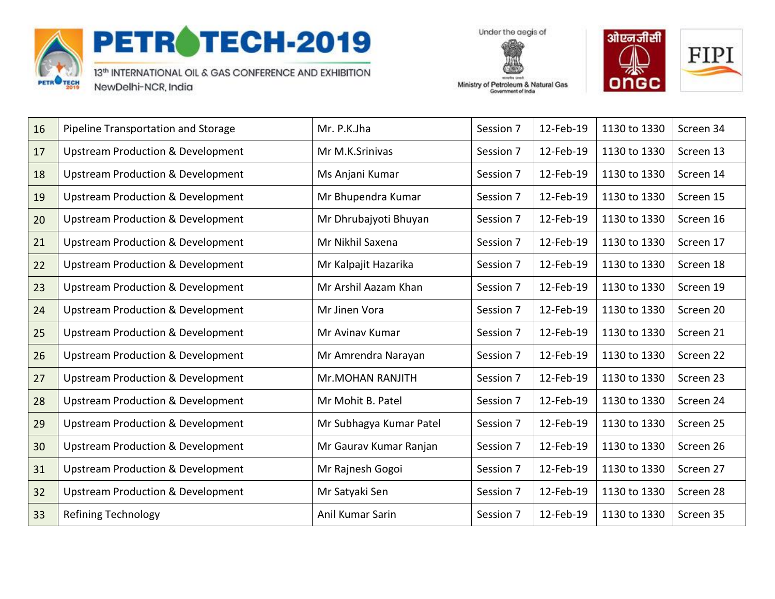

## PETROTECH-2019

13th INTERNATIONAL OIL & GAS CONFERENCE AND EXHIBITION NewDelhi-NCR, India

Under the aegis of



Ministry of Petroleum & Natural Gas Government of India

| 16 | Pipeline Transportation and Storage          | Mr. P.K.Jha             | Session 7 | 12-Feb-19 | 1130 to 1330 | Screen 34 |
|----|----------------------------------------------|-------------------------|-----------|-----------|--------------|-----------|
| 17 | <b>Upstream Production &amp; Development</b> | Mr M.K.Srinivas         | Session 7 | 12-Feb-19 | 1130 to 1330 | Screen 13 |
| 18 | <b>Upstream Production &amp; Development</b> | Ms Anjani Kumar         | Session 7 | 12-Feb-19 | 1130 to 1330 | Screen 14 |
| 19 | <b>Upstream Production &amp; Development</b> | Mr Bhupendra Kumar      | Session 7 | 12-Feb-19 | 1130 to 1330 | Screen 15 |
| 20 | <b>Upstream Production &amp; Development</b> | Mr Dhrubajyoti Bhuyan   | Session 7 | 12-Feb-19 | 1130 to 1330 | Screen 16 |
| 21 | <b>Upstream Production &amp; Development</b> | Mr Nikhil Saxena        | Session 7 | 12-Feb-19 | 1130 to 1330 | Screen 17 |
| 22 | <b>Upstream Production &amp; Development</b> | Mr Kalpajit Hazarika    | Session 7 | 12-Feb-19 | 1130 to 1330 | Screen 18 |
| 23 | <b>Upstream Production &amp; Development</b> | Mr Arshil Aazam Khan    | Session 7 | 12-Feb-19 | 1130 to 1330 | Screen 19 |
| 24 | <b>Upstream Production &amp; Development</b> | Mr Jinen Vora           | Session 7 | 12-Feb-19 | 1130 to 1330 | Screen 20 |
| 25 | <b>Upstream Production &amp; Development</b> | Mr Avinav Kumar         | Session 7 | 12-Feb-19 | 1130 to 1330 | Screen 21 |
| 26 | <b>Upstream Production &amp; Development</b> | Mr Amrendra Narayan     | Session 7 | 12-Feb-19 | 1130 to 1330 | Screen 22 |
| 27 | <b>Upstream Production &amp; Development</b> | Mr.MOHAN RANJITH        | Session 7 | 12-Feb-19 | 1130 to 1330 | Screen 23 |
| 28 | <b>Upstream Production &amp; Development</b> | Mr Mohit B. Patel       | Session 7 | 12-Feb-19 | 1130 to 1330 | Screen 24 |
| 29 | <b>Upstream Production &amp; Development</b> | Mr Subhagya Kumar Patel | Session 7 | 12-Feb-19 | 1130 to 1330 | Screen 25 |
| 30 | <b>Upstream Production &amp; Development</b> | Mr Gaurav Kumar Ranjan  | Session 7 | 12-Feb-19 | 1130 to 1330 | Screen 26 |
| 31 | <b>Upstream Production &amp; Development</b> | Mr Rajnesh Gogoi        | Session 7 | 12-Feb-19 | 1130 to 1330 | Screen 27 |
| 32 | <b>Upstream Production &amp; Development</b> | Mr Satyaki Sen          | Session 7 | 12-Feb-19 | 1130 to 1330 | Screen 28 |
| 33 | <b>Refining Technology</b>                   | Anil Kumar Sarin        | Session 7 | 12-Feb-19 | 1130 to 1330 | Screen 35 |